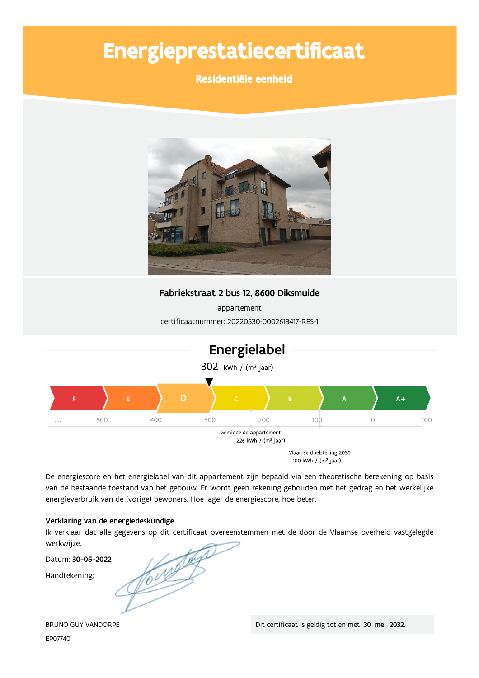# Energieprestatiecertificaat

## Residentiële eenheid



Fabriekstraat 2 bus 12, 8600 Diksmuide

appartement certificaatnummer: 20220530-0002613417-RES-1



De energiescore en het energielabel van dit appartement zijn bepaald via een theoretische berekening op basis van de bestaande toestand van het gebouw. Er wordt geen rekening gehouden met het gedrag en het werkelijke energieverbruik van de (vorige) bewoners. Hoe lager de energiescore, hoe beter.

#### Verklaring van de energiedeskundige

Ik verklaar dat alle gegevens op dit certificaat overeenstemmen met de door de Vlaamse overheid vastgelegde werkwijze.

Datum: 30-05-2022

Handtekening:

Compter

**BRUNO GUY VANDORPE** EP07740

Dit certificaat is geldig tot en met 30 mei 2032.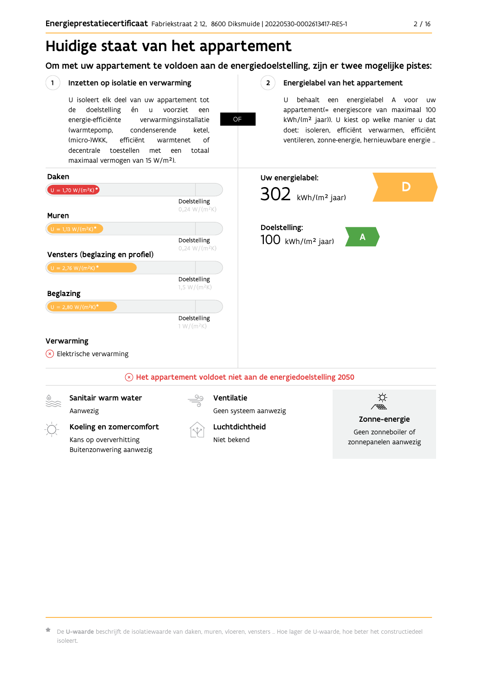## Huidige staat van het appartement

Om met uw appartement te voldoen aan de energiedoelstelling, zijn er twee mogelijke pistes:



De U-waarde beschrijft de isolatiewaarde van daken, muren, vloeren, vensters ... Hoe lager de U-waarde, hoe beter het constructiedeel isoleert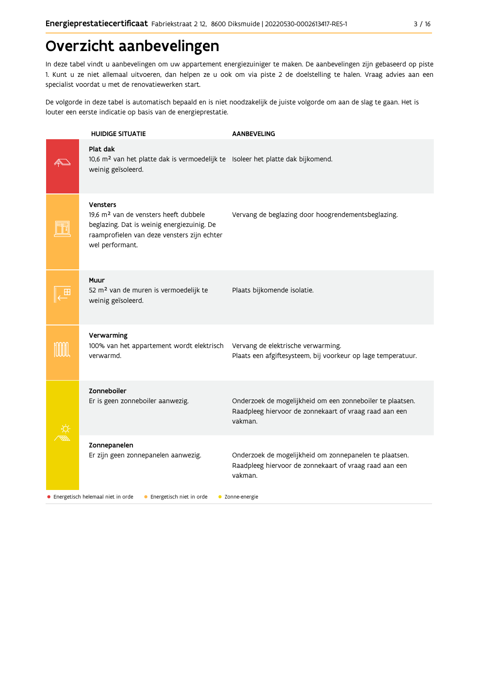## Overzicht aanbevelingen

In deze tabel vindt u aanbevelingen om uw appartement energiezuiniger te maken. De aanbevelingen zijn gebaseerd op piste 1. Kunt u ze niet allemaal uitvoeren, dan helpen ze u ook om via piste 2 de doelstelling te halen. Vraag advies aan een specialist voordat u met de renovatiewerken start.

De volgorde in deze tabel is automatisch bepaald en is niet noodzakelijk de juiste volgorde om aan de slag te gaan. Het is louter een eerste indicatie op basis van de energieprestatie.

| <b>HUIDIGE SITUATIE</b>                                                                                                                                                              | <b>AANBEVELING</b>                                                                                                             |
|--------------------------------------------------------------------------------------------------------------------------------------------------------------------------------------|--------------------------------------------------------------------------------------------------------------------------------|
| Plat dak<br>10,6 m <sup>2</sup> van het platte dak is vermoedelijk te Isoleer het platte dak bijkomend.<br>weinig geïsoleerd.                                                        |                                                                                                                                |
| <b>Vensters</b><br>19,6 m <sup>2</sup> van de vensters heeft dubbele<br>beglazing. Dat is weinig energiezuinig. De<br>raamprofielen van deze vensters zijn echter<br>wel performant. | Vervang de beglazing door hoogrendementsbeglazing.                                                                             |
| Muur<br>52 m <sup>2</sup> van de muren is vermoedelijk te<br>weinig geïsoleerd.                                                                                                      | Plaats bijkomende isolatie.                                                                                                    |
| Verwarming<br>100% van het appartement wordt elektrisch<br>verwarmd.                                                                                                                 | Vervang de elektrische verwarming.<br>Plaats een afgiftesysteem, bij voorkeur op lage temperatuur.                             |
| Zonneboiler<br>Er is geen zonneboiler aanwezig.                                                                                                                                      | Onderzoek de mogelijkheid om een zonneboiler te plaatsen.<br>Raadpleeg hiervoor de zonnekaart of vraag raad aan een<br>vakman. |
| Zonnepanelen<br>Er zijn geen zonnepanelen aanwezig.                                                                                                                                  | Onderzoek de mogelijkheid om zonnepanelen te plaatsen.<br>Raadpleeg hiervoor de zonnekaart of vraag raad aan een<br>vakman.    |
| • Energetisch helemaal niet in orde<br>• Energetisch niet in orde                                                                                                                    | • Zonne-energie                                                                                                                |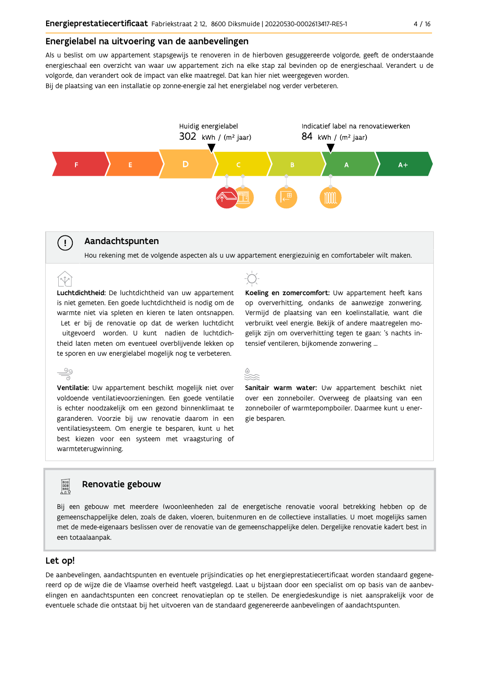#### Energielabel na uitvoering van de aanbevelingen

Als u beslist om uw appartement stapsgewijs te renoveren in de hierboven gesuggereerde volgorde, geeft de onderstaande energieschaal een overzicht van waar uw appartement zich na elke stap zal bevinden op de energieschaal. Verandert u de volgorde, dan verandert ook de impact van elke maatregel. Dat kan hier niet weergegeven worden. Bij de plaatsing van een installatie op zonne-energie zal het energielabel nog verder verbeteren.



## Aandachtspunten

 $\left( \cdot \right)$ 

Hou rekening met de volgende aspecten als u uw appartement energiezuinig en comfortabeler wilt maken.

Luchtdichtheid: De luchtdichtheid van uw appartement is niet gemeten. Een goede luchtdichtheid is nodig om de warmte niet via spleten en kieren te laten ontsnappen. Let er bij de renovatie op dat de werken luchtdicht uitgevoerd worden. U kunt nadien de luchtdichtheid laten meten om eventueel overblijvende lekken op te sporen en uw energielabel mogelijk nog te verbeteren.

 $\stackrel{\circ}{\equiv}$ Ventilatie: Uw appartement beschikt mogelijk niet over voldoende ventilatievoorzieningen. Een goede ventilatie is echter noodzakelijk om een gezond binnenklimaat te garanderen. Voorzie bij uw renovatie daarom in een ventilatiesysteem. Om energie te besparen, kunt u het best kiezen voor een systeem met vraagsturing of warmteterugwinning.

Koeling en zomercomfort: Uw appartement heeft kans op oververhitting, ondanks de aanwezige zonwering. Vermijd de plaatsing van een koelinstallatie, want die verbruikt veel energie. Bekijk of andere maatregelen mogelijk zijn om oververhitting tegen te gaan: 's nachts intensief ventileren, bijkomende zonwering ...



Sanitair warm water: Uw appartement beschikt niet over een zonneboiler. Overweeg de plaatsing van een zonneboiler of warmtepompboiler. Daarmee kunt u energie besparen.

## Renovatie gebouw

Bij een gebouw met meerdere (woon)eenheden zal de energetische renovatie vooral betrekking hebben op de gemeenschappelijke delen, zoals de daken, vloeren, buitenmuren en de collectieve installaties. U moet mogelijks samen met de mede-eigenaars beslissen over de renovatie van de gemeenschappelijke delen. Dergelijke renovatie kadert best in een totaalaanpak.

#### Let op!

**Property** 

De aanbevelingen, aandachtspunten en eventuele prijsindicaties op het energieprestatiecertificaat worden standaard gegenereerd op de wijze die de Vlaamse overheid heeft vastgelegd. Laat u bijstaan door een specialist om op basis van de aanbevelingen en aandachtspunten een concreet renovatieplan op te stellen. De energiedeskundige is niet aansprakelijk voor de eventuele schade die ontstaat bij het uitvoeren van de standaard gegenereerde aanbevelingen of aandachtspunten.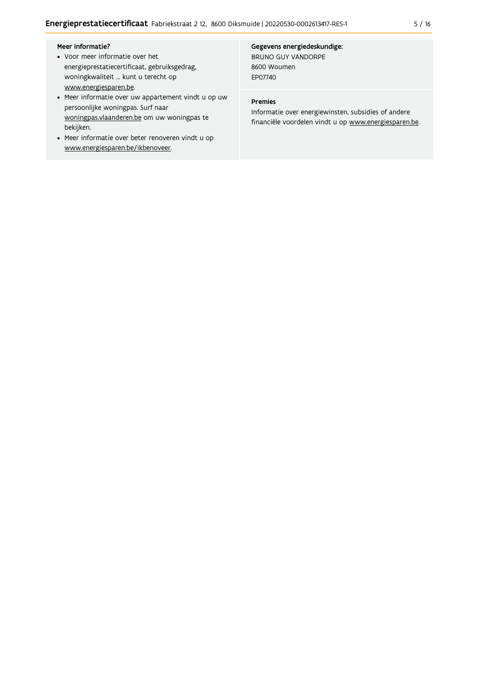#### Meer informatie?

- Voor meer informatie over het energieprestatiecertificaat, gebruiksgedrag, woningkwaliteit ... kunt u terecht op www.energiesparen.be.
- Meer informatie over uw appartement vindt u op uw persoonlijke woningpas. Surf naar woningpas.vlaanderen.be om uw woningpas te bekijken.
- Meer informatie over beter renoveren vindt u op www.energiesparen.be/ikbenoveer.

Gegevens energiedeskundige: BRUNO GUY VANDORPE 8600 Woumen

#### Premies

EP07740

Informatie over energiewinsten, subsidies of andere financiële voordelen vindt u op www.energiesparen.be.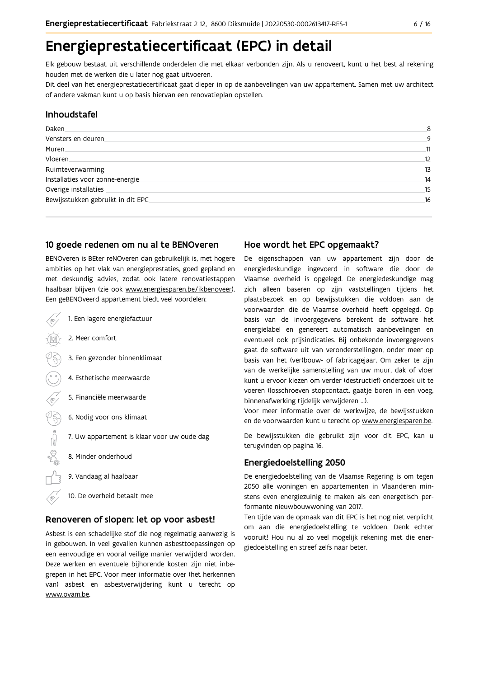## Energieprestatiecertificaat (EPC) in detail

Elk gebouw bestaat uit verschillende onderdelen die met elkaar verbonden zijn. Als u renoveert, kunt u het best al rekening houden met de werken die u later nog gaat uitvoeren.

Dit deel van het energieprestatiecertificaat gaat dieper in op de aanbevelingen van uw appartement. Samen met uw architect of andere vakman kunt u op basis hiervan een renovatieplan opstellen.

## Inhoudstafel

| Daken.                            | 8  |
|-----------------------------------|----|
| Vensters en deuren                | 9  |
| Muren.                            | 11 |
| Vloeren                           | 12 |
| Ruimteverwarming                  | 13 |
| Installaties voor zonne-energie.  | 14 |
| Overige installaties              | 15 |
| Bewijsstukken gebruikt in dit EPC | 16 |
|                                   |    |

## 10 goede redenen om nu al te BENOveren

BENOveren is BEter reNOveren dan gebruikelijk is, met hogere ambities op het vlak van energieprestaties, goed gepland en met deskundig advies, zodat ook latere renovatiestappen haalbaar blijven (zie ook www.energiesparen.be/ikbenoveer). Een geBENOveerd appartement biedt veel voordelen:

- 1. Een lagere energiefactuur 2. Meer comfort 3. Een gezonder binnenklimaat 4. Esthetische meerwaarde 5. Financiële meerwaarde  $\frac{1}{2}$ 6. Nodig voor ons klimaat 7. Uw appartement is klaar voor uw oude dag 8. Minder onderhoud 9. Vandaag al haalbaar
	- 10. De overheid betaalt mee

### Renoveren of slopen: let op voor asbest!

Asbest is een schadelijke stof die nog regelmatig aanwezig is in gebouwen. In veel gevallen kunnen asbesttoepassingen op een eenvoudige en vooral veilige manier verwijderd worden. Deze werken en eventuele bijhorende kosten zijn niet inbegrepen in het EPC. Voor meer informatie over (het herkennen van) asbest en asbestverwijdering kunt u terecht op www.ovam.be.

## Hoe wordt het EPC opgemaakt?

De eigenschappen van uw appartement zijn door de energiedeskundige ingevoerd in software die door de Vlaamse overheid is opgelegd. De energiedeskundige mag zich alleen baseren op zijn vaststellingen tijdens het plaatsbezoek en op bewijsstukken die voldoen aan de voorwaarden die de Vlaamse overheid heeft opgelegd. Op basis van de invoergegevens berekent de software het energielabel en genereert automatisch aanbevelingen en eventueel ook prijsindicaties. Bij onbekende invoergegevens gaat de software uit van veronderstellingen, onder meer op basis van het (ver)bouw- of fabricagejaar. Om zeker te zijn van de werkelijke samenstelling van uw muur, dak of vloer kunt u ervoor kiezen om verder (destructief) onderzoek uit te voeren (losschroeven stopcontact, gaatje boren in een voeg, binnenafwerking tijdelijk verwijderen ...).

Voor meer informatie over de werkwijze, de bewijsstukken en de voorwaarden kunt u terecht op www.energiesparen.be.

De bewijsstukken die gebruikt zijn voor dit EPC, kan u terugvinden op pagina 16.

### **Energiedoelstelling 2050**

De energiedoelstelling van de Vlaamse Regering is om tegen 2050 alle woningen en appartementen in Vlaanderen minstens even energiezuinig te maken als een energetisch performante nieuwbouwwoning van 2017.

Ten tijde van de opmaak van dit EPC is het nog niet verplicht om aan die energiedoelstelling te voldoen. Denk echter vooruit! Hou nu al zo veel mogelijk rekening met die energiedoelstelling en streef zelfs naar beter.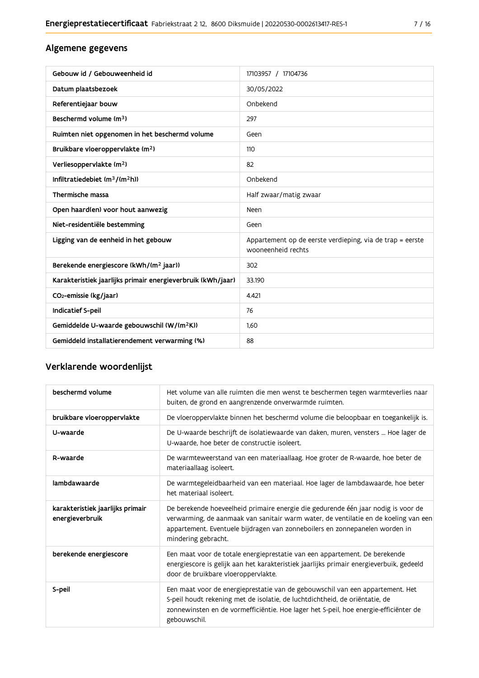## Algemene gegevens

| Gebouw id / Gebouweenheid id                                | 17103957 / 17104736                                                             |
|-------------------------------------------------------------|---------------------------------------------------------------------------------|
| Datum plaatsbezoek                                          | 30/05/2022                                                                      |
| Referentiejaar bouw                                         | Onbekend                                                                        |
| Beschermd volume (m <sup>3</sup> )                          | 297                                                                             |
| Ruimten niet opgenomen in het beschermd volume              | Geen                                                                            |
| Bruikbare vloeroppervlakte (m <sup>2</sup> )                | 110                                                                             |
| Verliesoppervlakte (m <sup>2</sup> )                        | 82                                                                              |
| Infiltratiedebiet (m <sup>3</sup> /(m <sup>2</sup> h))      | Onbekend                                                                        |
| Thermische massa                                            | Half zwaar/matig zwaar                                                          |
| Open haard(en) voor hout aanwezig                           | Neen                                                                            |
| Niet-residentiële bestemming                                | Geen                                                                            |
| Ligging van de eenheid in het gebouw                        | Appartement op de eerste verdieping, via de trap = eerste<br>wooneenheid rechts |
| Berekende energiescore (kWh/(m <sup>2</sup> jaar))          | 302                                                                             |
| Karakteristiek jaarlijks primair energieverbruik (kWh/jaar) | 33.190                                                                          |
| CO <sub>2</sub> -emissie (kg/jaar)                          | 4.421                                                                           |
| Indicatief S-peil                                           | 76                                                                              |
| Gemiddelde U-waarde gebouwschil (W/(m <sup>2</sup> K))      | 1,60                                                                            |
| Gemiddeld installatierendement verwarming (%)               | 88                                                                              |

## Verklarende woordenlijst

| beschermd volume                                    | Het volume van alle ruimten die men wenst te beschermen tegen warmteverlies naar<br>buiten, de grond en aangrenzende onverwarmde ruimten.                                                                                                                                      |
|-----------------------------------------------------|--------------------------------------------------------------------------------------------------------------------------------------------------------------------------------------------------------------------------------------------------------------------------------|
| bruikbare vloeroppervlakte                          | De vloeroppervlakte binnen het beschermd volume die beloopbaar en toegankelijk is.                                                                                                                                                                                             |
| U-waarde                                            | De U-waarde beschrijft de isolatiewaarde van daken, muren, vensters  Hoe lager de<br>U-waarde, hoe beter de constructie isoleert.                                                                                                                                              |
| R-waarde                                            | De warmteweerstand van een materiaallaag. Hoe groter de R-waarde, hoe beter de<br>materiaallaag isoleert.                                                                                                                                                                      |
| lambdawaarde                                        | De warmtegeleidbaarheid van een materiaal. Hoe lager de lambdawaarde, hoe beter<br>het materiaal isoleert.                                                                                                                                                                     |
| karakteristiek jaarlijks primair<br>energieverbruik | De berekende hoeveelheid primaire energie die gedurende één jaar nodig is voor de<br>verwarming, de aanmaak van sanitair warm water, de ventilatie en de koeling van een<br>appartement. Eventuele bijdragen van zonneboilers en zonnepanelen worden in<br>mindering gebracht. |
| berekende energiescore                              | Een maat voor de totale energieprestatie van een appartement. De berekende<br>energiescore is gelijk aan het karakteristiek jaarlijks primair energieverbuik, gedeeld<br>door de bruikbare vloeroppervlakte.                                                                   |
| S-peil                                              | Een maat voor de energieprestatie van de gebouwschil van een appartement. Het<br>S-peil houdt rekening met de isolatie, de luchtdichtheid, de oriëntatie, de<br>zonnewinsten en de vormefficiëntie. Hoe lager het S-peil, hoe energie-efficiënter de<br>gebouwschil.           |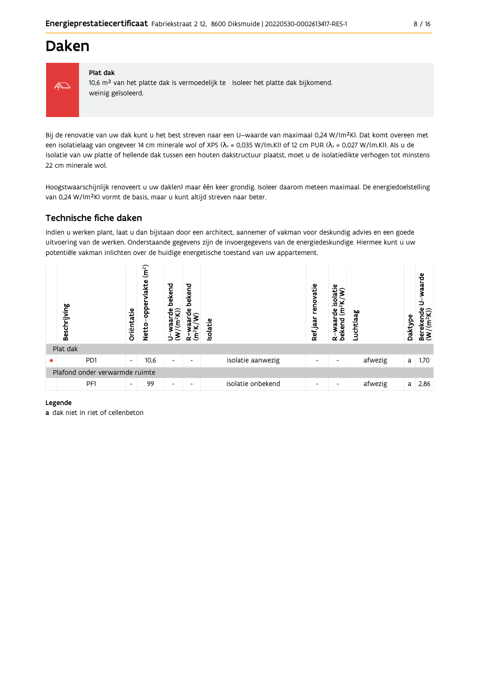## **Daken**



#### Plat dak

10,6 m<sup>2</sup> van het platte dak is vermoedelijk te Isoleer het platte dak bijkomend. weinig geïsoleerd.

Bij de renovatie van uw dak kunt u het best streven naar een U-waarde van maximaal 0,24 W/(m<sup>2</sup>K). Dat komt overeen met een isolatielaag van ongeveer 14 cm minerale wol of XPS ( $\lambda_d$  = 0,035 W/(m.K)) of 12 cm PUR ( $\lambda_d$  = 0,027 W/(m.K)). Als u de isolatie van uw platte of hellende dak tussen een houten dakstructuur plaatst, moet u de isolatiedikte verhogen tot minstens 22 cm minerale wol.

Hoogstwaarschijnlijk renoveert u uw dak(en) maar één keer grondig. Isoleer daarom meteen maximaal. De energiedoelstelling van 0,24 W/(m<sup>2</sup>K) vormt de basis, maar u kunt altijd streven naar beter.

## Technische fiche daken

Indien u werken plant, laat u dan bijstaan door een architect, aannemer of vakman voor deskundig advies en een goede uitvoering van de werken. Onderstaande gegevens zijn de invoergegevens van de energiedeskundige. Hiermee kunt u uw potentiële vakman inlichten over de huidige energetische toestand van uw appartement.

|   | Beschrijving                   | Oriëntatie               | (m <sup>2</sup> )<br>lakte<br>흠<br><b>Netto</b> | bekend<br>ಕಿಂ<br>vaar<br>Ξ | bekend<br>Φ<br>Ê<br>≃    | Isolatie |                   | renovatie<br>Ref jaar | ω<br>흥<br>$\frac{2}{\alpha}$<br>Ê<br>은<br>R-waar<br>bekend | Luchtlaag | Daktype | waarde<br>ω<br>σ<br>⊻<br>Bereken<br>(W/(m <sup>2</sup> ł |
|---|--------------------------------|--------------------------|-------------------------------------------------|----------------------------|--------------------------|----------|-------------------|-----------------------|------------------------------------------------------------|-----------|---------|----------------------------------------------------------|
|   | Plat dak                       |                          |                                                 |                            |                          |          |                   |                       |                                                            |           |         |                                                          |
| ● | P <sub>D</sub> 1               | $\overline{\phantom{a}}$ | 10,6                                            | $\overline{\phantom{a}}$   | $\overline{\phantom{0}}$ |          | isolatie aanwezig | ٠                     | $\overline{\phantom{a}}$                                   | afwezig   | a       | 1,70                                                     |
|   | Plafond onder verwarmde ruimte |                          |                                                 |                            |                          |          |                   |                       |                                                            |           |         |                                                          |
|   | PF1                            | $\overline{\phantom{a}}$ | 99                                              | $\overline{\phantom{a}}$   | $\overline{\phantom{0}}$ |          | isolatie onbekend | ٠                     | $\overline{\phantom{a}}$                                   | afwezig   | a       | 2,86                                                     |

#### Legende

a dak niet in riet of cellenbeton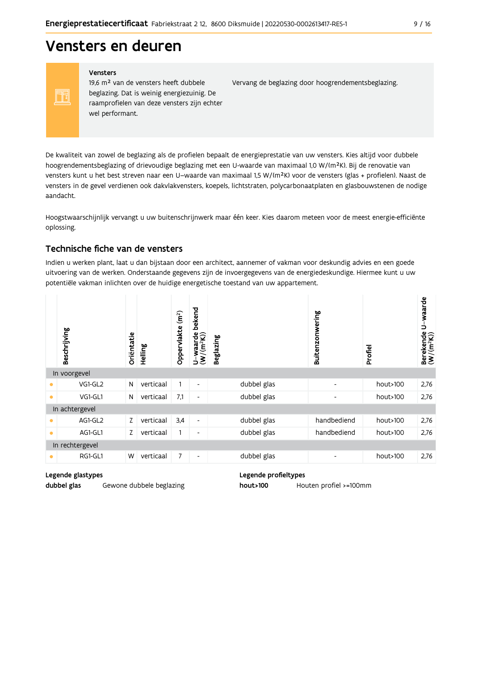## Vensters en deuren

#### Vensters

FF

19,6 m<sup>2</sup> van de vensters heeft dubbele beglazing. Dat is weinig energiezuinig. De raamprofielen van deze vensters zijn echter wel performant.

Vervang de beglazing door hoogrendementsbeglazing.

De kwaliteit van zowel de beglazing als de profielen bepaalt de energieprestatie van uw vensters. Kies altijd voor dubbele hoogrendementsbeglazing of drievoudige beglazing met een U-waarde van maximaal 1,0 W/(m<sup>2</sup>K). Bij de renovatie van vensters kunt u het best streven naar een U-waarde van maximaal 1,5 W/(m<sup>2</sup>K) voor de vensters (glas + profielen). Naast de vensters in de gevel verdienen ook dakvlakvensters, koepels, lichtstraten, polycarbonaatplaten en glasbouwstenen de nodige aandacht.

Hoogstwaarschijnlijk vervangt u uw buitenschrijnwerk maar één keer. Kies daarom meteen voor de meest energie-efficiënte oplossing.

## Technische fiche van de vensters

Indien u werken plant, laat u dan bijstaan door een architect, aannemer of vakman voor deskundig advies en een goede uitvoering van de werken. Onderstaande gegevens zijn de invoergegevens van de energiedeskundige. Hiermee kunt u uw potentiële vakman inlichten over de huidige energetische toestand van uw appartement.

|           | Beschrijving    | Oriëntatie | Helling   | (m <sup>2</sup> )<br>Oppervlakte | bekend<br>$U$ – waarde<br>(W/(m <sup>2</sup> K)) | <b>Beglazing</b> | Buitenzonwering              | Profiel  | U-waarde<br>$\begin{array}{ll} \text{Berekende} \\ (\textbf{W}/(\textbf{m}^2\textbf{K})) \end{array}$ |
|-----------|-----------------|------------|-----------|----------------------------------|--------------------------------------------------|------------------|------------------------------|----------|-------------------------------------------------------------------------------------------------------|
|           | In voorgevel    |            |           |                                  |                                                  |                  |                              |          |                                                                                                       |
| $\bullet$ | VG1-GL2         | N          | verticaal |                                  | $\overline{\phantom{a}}$                         | dubbel glas      | $\overline{\phantom{a}}$     | hout>100 | 2,76                                                                                                  |
| $\bullet$ | VG1-GL1         | N          | verticaal | 7,1                              | $\overline{\phantom{a}}$                         | dubbel glas      | $\qquad \qquad \blacksquare$ | hout>100 | 2,76                                                                                                  |
|           | In achtergevel  |            |           |                                  |                                                  |                  |                              |          |                                                                                                       |
| $\bullet$ | AG1-GL2         | Z          | verticaal | 3,4                              | $\overline{\phantom{a}}$                         | dubbel glas      | handbediend                  | hout>100 | 2,76                                                                                                  |
| $\bullet$ | AG1-GL1         | Z          | verticaal | 1                                | $\overline{\phantom{a}}$                         | dubbel glas      | handbediend                  | hout>100 | 2,76                                                                                                  |
|           | In rechtergevel |            |           |                                  |                                                  |                  |                              |          |                                                                                                       |
| $\bullet$ | RG1-GL1         | W          | verticaal | 7                                | $\overline{\phantom{a}}$                         | dubbel glas      | $\qquad \qquad \blacksquare$ | hout>100 | 2,76                                                                                                  |

#### Legende glastypes

dubbel glas Gewone dubbele beglazing Legende profieltypes

hout>100 Houten profiel >=100mm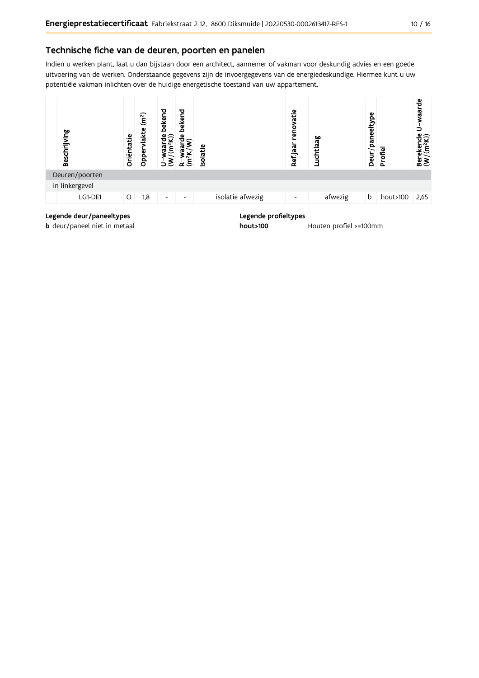### Technische fiche van de deuren, poorten en panelen

Indien u werken plant, laat u dan bijstaan door een architect, aannemer of vakman voor deskundig advies en een goede uitvoering van de werken. Onderstaande gegevens zijn de invoergegevens van de energiedeskundige. Hiermee kunt u uw potentiële vakman inlichten over de huidige energetische toestand van uw appartement.



**b** deur/paneel niet in metaal

hout>100

Houten profiel >=100mm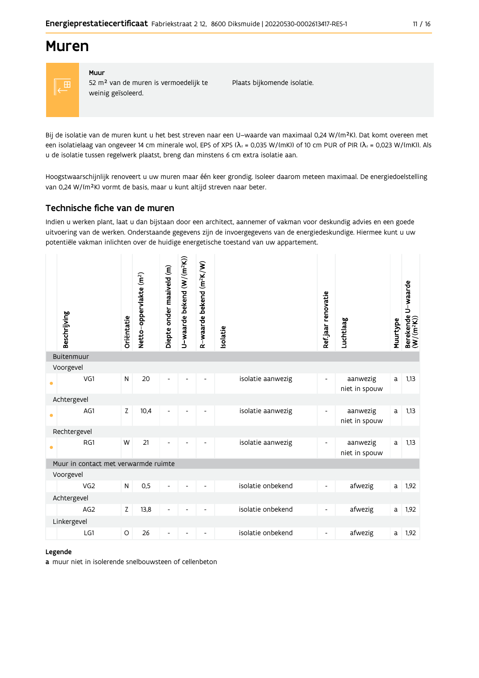## **Muren**



## Muur

52 m<sup>2</sup> van de muren is vermoedelijk te weinig geïsoleerd.

Plaats bijkomende isolatie.

Bij de isolatie van de muren kunt u het best streven naar een U-waarde van maximaal 0,24 W/(m<sup>2</sup>K). Dat komt overeen met een isolatielaag van ongeveer 14 cm minerale wol, EPS of XPS ( $\lambda$ <sub>d</sub> = 0,035 W/(mK)) of 10 cm PUR of PIR ( $\lambda$ <sub>d</sub> = 0,023 W/(mK)). Als u de isolatie tussen regelwerk plaatst, breng dan minstens 6 cm extra isolatie aan.

Hoogstwaarschijnlijk renoveert u uw muren maar één keer grondig. Isoleer daarom meteen maximaal. De energiedoelstelling van 0,24 W/(m<sup>2</sup>K) vormt de basis, maar u kunt altijd streven naar beter.

## Technische fiche van de muren

Indien u werken plant, laat u dan bijstaan door een architect, aannemer of vakman voor deskundig advies en een goede uitvoering van de werken. Onderstaande gegevens zijn de invoergegevens van de energiedeskundige. Hiermee kunt u uw potentiële vakman inlichten over de huidige energetische toestand van uw appartement.

| Buitenmuur<br>Voorgevel<br>20<br>VG1<br>$\mathsf{N}$<br>isolatie aanwezig<br>aanwezig<br>1,13<br>a<br>-<br>$\bullet$<br>niet in spouw<br>Achtergevel<br>AG1<br>Z<br>10,4<br>isolatie aanwezig<br>1,13<br>aanwezig<br>a<br>$\overline{\phantom{a}}$<br>$\overline{\phantom{0}}$<br>$\overline{\phantom{a}}$<br>$\overline{\phantom{0}}$<br>$\bullet$<br>niet in spouw<br>Rechtergevel<br>RG1<br>21<br>isolatie aanwezig<br>W<br>1,13<br>aanwezig<br>a<br>$\overline{\phantom{0}}$<br>$\bullet$<br>niet in spouw<br>Muur in contact met verwarmde ruimte<br>Voorgevel<br>isolatie onbekend<br>${\sf N}$<br>0,5<br>VG <sub>2</sub><br>afwezig<br>1,92<br>a<br>$\overline{a}$<br>$\overline{\phantom{0}}$<br>Achtergevel<br>isolatie onbekend<br>AG <sub>2</sub><br>Z<br>13,8<br>afwezig<br>1,92<br>a<br>$\qquad \qquad \blacksquare$<br>$\overline{\phantom{a}}$<br>Linkergevel<br>isolatie onbekend<br>LG1<br>26<br>1,92<br>$\circ$<br>afwezig<br>a<br>$\overline{\phantom{a}}$<br>$\overline{\phantom{a}}$<br>$\overline{\phantom{a}}$<br>$\overline{a}$ | Beschrijving | Oriëntatie | Netto-oppervlakte (m <sup>2</sup> ) | Diepte onder maaiveld (m) | U-waarde bekend (W/(m <sup>2</sup> K)) | R-waarde bekend (m <sup>2</sup> K/W) | Isolatie | Ref.jaar renovatie | Luchtlaag | Muurtype | Berekende U-waarde<br>(W/(m <sup>2</sup> K)) |
|---------------------------------------------------------------------------------------------------------------------------------------------------------------------------------------------------------------------------------------------------------------------------------------------------------------------------------------------------------------------------------------------------------------------------------------------------------------------------------------------------------------------------------------------------------------------------------------------------------------------------------------------------------------------------------------------------------------------------------------------------------------------------------------------------------------------------------------------------------------------------------------------------------------------------------------------------------------------------------------------------------------------------------------------------------|--------------|------------|-------------------------------------|---------------------------|----------------------------------------|--------------------------------------|----------|--------------------|-----------|----------|----------------------------------------------|
|                                                                                                                                                                                                                                                                                                                                                                                                                                                                                                                                                                                                                                                                                                                                                                                                                                                                                                                                                                                                                                                         |              |            |                                     |                           |                                        |                                      |          |                    |           |          |                                              |
|                                                                                                                                                                                                                                                                                                                                                                                                                                                                                                                                                                                                                                                                                                                                                                                                                                                                                                                                                                                                                                                         |              |            |                                     |                           |                                        |                                      |          |                    |           |          |                                              |
|                                                                                                                                                                                                                                                                                                                                                                                                                                                                                                                                                                                                                                                                                                                                                                                                                                                                                                                                                                                                                                                         |              |            |                                     |                           |                                        |                                      |          |                    |           |          |                                              |
|                                                                                                                                                                                                                                                                                                                                                                                                                                                                                                                                                                                                                                                                                                                                                                                                                                                                                                                                                                                                                                                         |              |            |                                     |                           |                                        |                                      |          |                    |           |          |                                              |
|                                                                                                                                                                                                                                                                                                                                                                                                                                                                                                                                                                                                                                                                                                                                                                                                                                                                                                                                                                                                                                                         |              |            |                                     |                           |                                        |                                      |          |                    |           |          |                                              |
|                                                                                                                                                                                                                                                                                                                                                                                                                                                                                                                                                                                                                                                                                                                                                                                                                                                                                                                                                                                                                                                         |              |            |                                     |                           |                                        |                                      |          |                    |           |          |                                              |
|                                                                                                                                                                                                                                                                                                                                                                                                                                                                                                                                                                                                                                                                                                                                                                                                                                                                                                                                                                                                                                                         |              |            |                                     |                           |                                        |                                      |          |                    |           |          |                                              |
|                                                                                                                                                                                                                                                                                                                                                                                                                                                                                                                                                                                                                                                                                                                                                                                                                                                                                                                                                                                                                                                         |              |            |                                     |                           |                                        |                                      |          |                    |           |          |                                              |
|                                                                                                                                                                                                                                                                                                                                                                                                                                                                                                                                                                                                                                                                                                                                                                                                                                                                                                                                                                                                                                                         |              |            |                                     |                           |                                        |                                      |          |                    |           |          |                                              |
|                                                                                                                                                                                                                                                                                                                                                                                                                                                                                                                                                                                                                                                                                                                                                                                                                                                                                                                                                                                                                                                         |              |            |                                     |                           |                                        |                                      |          |                    |           |          |                                              |
|                                                                                                                                                                                                                                                                                                                                                                                                                                                                                                                                                                                                                                                                                                                                                                                                                                                                                                                                                                                                                                                         |              |            |                                     |                           |                                        |                                      |          |                    |           |          |                                              |
|                                                                                                                                                                                                                                                                                                                                                                                                                                                                                                                                                                                                                                                                                                                                                                                                                                                                                                                                                                                                                                                         |              |            |                                     |                           |                                        |                                      |          |                    |           |          |                                              |
|                                                                                                                                                                                                                                                                                                                                                                                                                                                                                                                                                                                                                                                                                                                                                                                                                                                                                                                                                                                                                                                         |              |            |                                     |                           |                                        |                                      |          |                    |           |          |                                              |
|                                                                                                                                                                                                                                                                                                                                                                                                                                                                                                                                                                                                                                                                                                                                                                                                                                                                                                                                                                                                                                                         |              |            |                                     |                           |                                        |                                      |          |                    |           |          |                                              |

#### Legende

a muur niet in isolerende snelbouwsteen of cellenbeton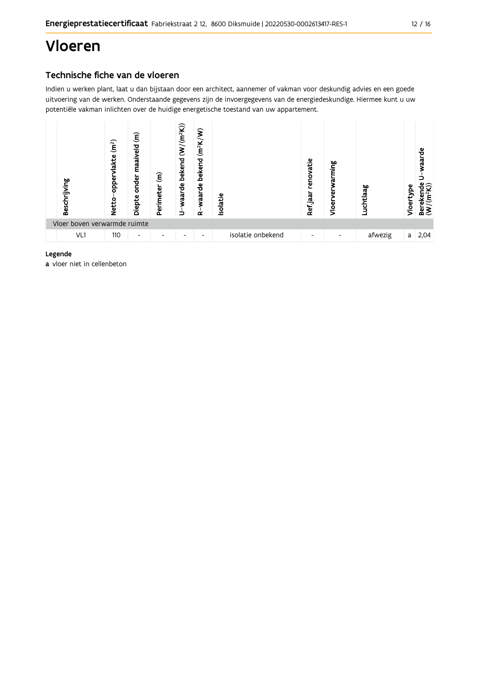## Vloeren

## Technische fiche van de vloeren

Indien u werken plant, laat u dan bijstaan door een architect, aannemer of vakman voor deskundig advies en een goede uitvoering van de werken. Onderstaande gegevens zijn de invoergegevens van de energiedeskundige. Hiermee kunt u uw potentiële vakman inlichten over de huidige energetische toestand van uw appartement.



#### Legende

a vloer niet in cellenbeton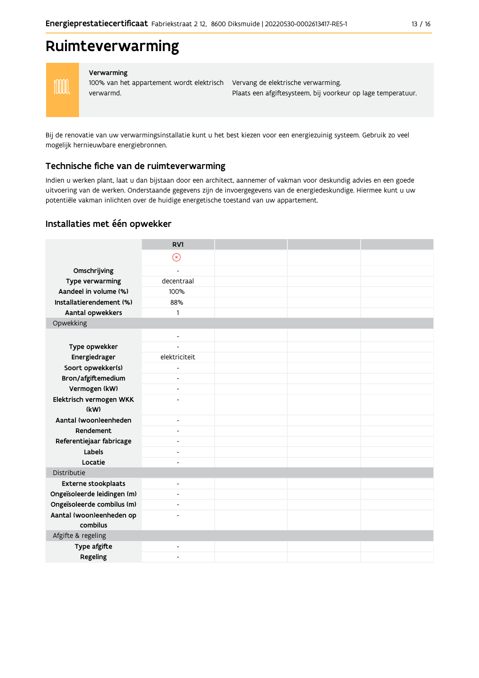## Ruimteverwarming



#### Verwarming

verwarmd.

100% van het appartement wordt elektrisch Vervang de elektrische verwarming. Plaats een afgiftesysteem, bij voorkeur op lage temperatuur.

Bij de renovatie van uw verwarmingsinstallatie kunt u het best kiezen voor een energiezuinig systeem. Gebruik zo veel mogelijk hernieuwbare energiebronnen.

### Technische fiche van de ruimteverwarming

Indien u werken plant, laat u dan bijstaan door een architect, aannemer of vakman voor deskundig advies en een goede uitvoering van de werken. Onderstaande gegevens zijn de invoergegevens van de energiedeskundige. Hiermee kunt u uw potentiële vakman inlichten over de huidige energetische toestand van uw appartement.

### Installaties met één opwekker

|                                      | RV1                          |  |  |
|--------------------------------------|------------------------------|--|--|
|                                      | $\circledR$                  |  |  |
| Omschrijving                         | $\overline{a}$               |  |  |
| Type verwarming                      | decentraal                   |  |  |
| Aandeel in volume (%)                | 100%                         |  |  |
| Installatierendement (%)             | 88%                          |  |  |
| Aantal opwekkers                     | 1                            |  |  |
| Opwekking                            |                              |  |  |
|                                      | $\overline{\phantom{a}}$     |  |  |
| Type opwekker                        | $\overline{a}$               |  |  |
| Energiedrager                        | elektriciteit                |  |  |
| Soort opwekker(s)                    | ٠                            |  |  |
| Bron/afgiftemedium                   | $\overline{\phantom{a}}$     |  |  |
| Vermogen (kW)                        | $\overline{\phantom{a}}$     |  |  |
| Elektrisch vermogen WKK              |                              |  |  |
| (kW)                                 |                              |  |  |
| Aantal (woon)eenheden                | $\overline{\phantom{a}}$     |  |  |
| Rendement                            | $\blacksquare$               |  |  |
| Referentiejaar fabricage             | ٠                            |  |  |
| Labels                               | $\overline{\phantom{a}}$     |  |  |
| Locatie                              | ۰                            |  |  |
| Distributie                          |                              |  |  |
| <b>Externe stookplaats</b>           | $\overline{\phantom{a}}$     |  |  |
| Ongeïsoleerde leidingen (m)          | $\overline{\phantom{a}}$     |  |  |
| Ongeïsoleerde combilus (m)           | $\overline{\phantom{a}}$     |  |  |
| Aantal (woon)eenheden op<br>combilus |                              |  |  |
| Afgifte & regeling                   |                              |  |  |
| Type afgifte                         | $\qquad \qquad \blacksquare$ |  |  |
| Regeling                             |                              |  |  |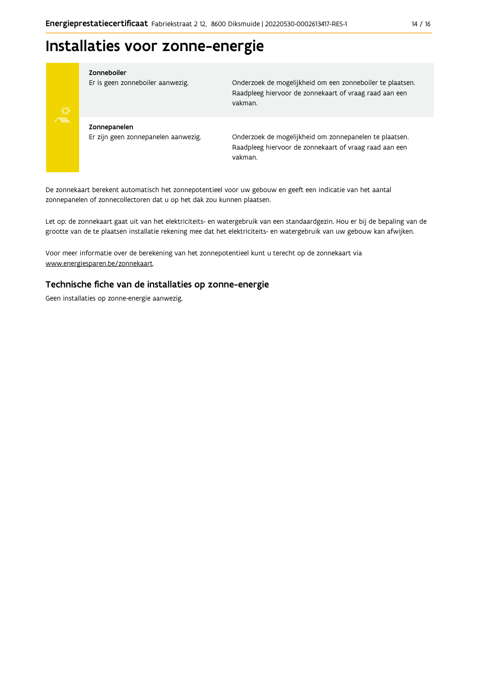## Installaties voor zonne-energie



#### Zonneboiler

Er is geen zonneboiler aanwezig.

Onderzoek de mogelijkheid om een zonneboiler te plaatsen. Raadpleeg hiervoor de zonnekaart of vraag raad aan een vakman.

Zonnepanelen Er zijn geen zonnepanelen aanwezig.

Onderzoek de mogelijkheid om zonnepanelen te plaatsen. Raadpleeg hiervoor de zonnekaart of vraag raad aan een vakman.

De zonnekaart berekent automatisch het zonnepotentieel voor uw gebouw en geeft een indicatie van het aantal zonnepanelen of zonnecollectoren dat u op het dak zou kunnen plaatsen.

Let op: de zonnekaart gaat uit van het elektriciteits- en watergebruik van een standaardgezin. Hou er bij de bepaling van de grootte van de te plaatsen installatie rekening mee dat het elektriciteits- en watergebruik van uw gebouw kan afwijken.

Voor meer informatie over de berekening van het zonnepotentieel kunt u terecht op de zonnekaart via www.energiesparen.be/zonnekaart.

### Technische fiche van de installaties op zonne-energie

Geen installaties op zonne-energie aanwezig.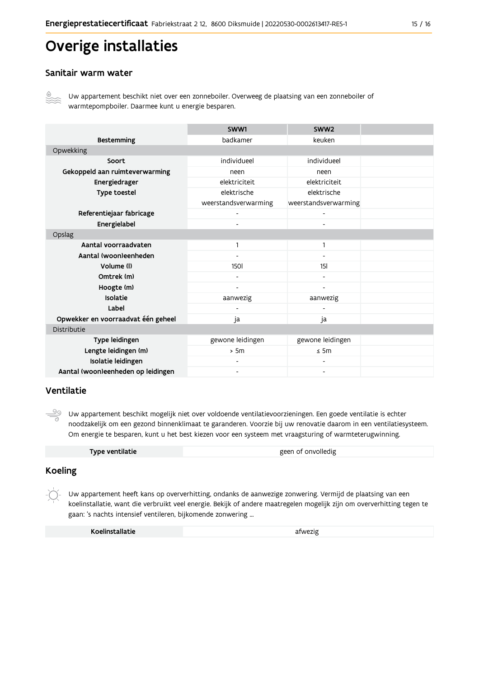## Overige installaties

### Sanitair warm water



Uw appartement beschikt niet over een zonneboiler. Overweeg de plaatsing van een zonneboiler of warmtepompboiler. Daarmee kunt u energie besparen.

|                                    | SWW1                         | SWW2                         |  |
|------------------------------------|------------------------------|------------------------------|--|
| <b>Bestemming</b>                  | badkamer                     | keuken                       |  |
| Opwekking                          |                              |                              |  |
| Soort                              | individueel                  | individueel                  |  |
| Gekoppeld aan ruimteverwarming     | neen                         | neen                         |  |
| Energiedrager                      | elektriciteit                | elektriciteit                |  |
| Type toestel                       | elektrische                  | elektrische                  |  |
|                                    | weerstandsverwarming         | weerstandsverwarming         |  |
| Referentiejaar fabricage           | $\overline{\phantom{0}}$     |                              |  |
| Energielabel                       |                              |                              |  |
| Opslag                             |                              |                              |  |
| Aantal voorraadvaten               |                              | $\mathbf{1}$                 |  |
| Aantal (woon)eenheden              | $\qquad \qquad \blacksquare$ | $\overline{\phantom{a}}$     |  |
| Volume (I)                         | <b>1501</b>                  | 15 <sub>l</sub>              |  |
| Omtrek (m)                         |                              |                              |  |
| Hoogte (m)                         |                              |                              |  |
| Isolatie                           | aanwezig                     | aanwezig                     |  |
| Label                              |                              |                              |  |
| Opwekker en voorraadvat één geheel | ja                           | ja                           |  |
| Distributie                        |                              |                              |  |
| Type leidingen                     | gewone leidingen             | gewone leidingen             |  |
| Lengte leidingen (m)               | > 5m                         | $\leq$ 5m                    |  |
| Isolatie leidingen                 | ۰                            |                              |  |
| Aantal (woon)eenheden op leidingen | $\overline{\phantom{a}}$     | $\qquad \qquad \blacksquare$ |  |

### Ventilatie

 $\frac{\circledcirc}{\circ}$ Uw appartement beschikt mogelijk niet over voldoende ventilatievoorzieningen. Een goede ventilatie is echter noodzakelijk om een gezond binnenklimaat te garanderen. Voorzie bij uw renovatie daarom in een ventilatiesysteem. Om energie te besparen, kunt u het best kiezen voor een systeem met vraagsturing of warmteterugwinning.

| Type ventilatie | geen of onvolledig |
|-----------------|--------------------|
|                 |                    |

## **Koeling**

Uw appartement heeft kans op oververhitting, ondanks de aanwezige zonwering. Vermijd de plaatsing van een koelinstallatie, want die verbruikt veel energie. Bekijk of andere maatregelen mogelijk zijn om oververhitting tegen te gaan: 's nachts intensief ventileren, bijkomende zonwering ...

| Koelinstallatie | afwezig |
|-----------------|---------|
|-----------------|---------|